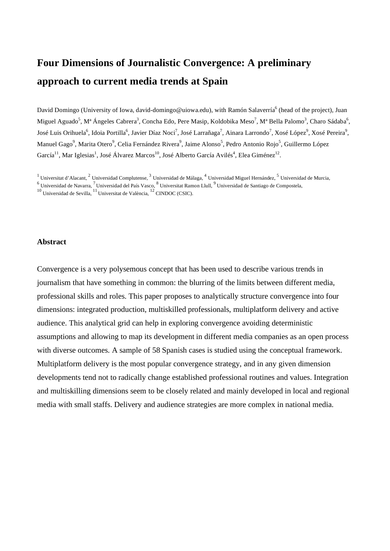# **Four Dimensions of Journalistic Convergence: A preliminary approach to current media trends at Spain**

David Domingo (University of Iowa, david-domingo@uiowa.edu), with Ramón Salaverría<sup>6</sup> (head of the project), Juan Miguel Aguado<sup>5</sup>, M<sup>a</sup> Ángeles Cabrera<sup>3</sup>, Concha Edo, Pere Masip, Koldobika Meso<sup>7</sup>, M<sup>a</sup> Bella Palomo<sup>3</sup>, Charo Sádaba<sup>6</sup>, José Luis Orihuela<sup>6</sup>, Idoia Portilla<sup>6</sup>, Javier Díaz Noci<sup>7</sup>, José Larrañaga<sup>7</sup>, Ainara Larrondo<sup>7</sup>, Xosé López<sup>9</sup>, Xosé Pereira<sup>9</sup>, Manuel Gago<sup>9</sup>, Marita Otero<sup>9</sup>, Celia Fernández Rivera<sup>9</sup>, Jaime Alonso<sup>5</sup>, Pedro Antonio Rojo<sup>5</sup>, Guillermo López García<sup>11</sup>, Mar Iglesias<sup>1</sup>, José Álvarez Marcos<sup>10</sup>, José Alberto García Avilés<sup>4</sup>, Elea Giménez<sup>12</sup>.

<sup>1</sup> Universitat d'Alacant, <sup>2</sup> Universidad Complutense, <sup>3</sup> Universidad de Málaga, <sup>4</sup> Universidad Miguel Hernández, <sup>5</sup> Universidad de Murcia, <sup>6</sup> Universidad de Navarra, <sup>7</sup> Universidad del País Vasco, <sup>8</sup> Universitat Ramon Llull, <sup>9</sup> Universidad de Santiago de Compostela, <sup>10</sup> Universidad de Santiago de Compostela, <sup>10</sup> Universidad de Sevilla, <sup>11</sup> Universitat

# **Abstract**

Convergence is a very polysemous concept that has been used to describe various trends in journalism that have something in common: the blurring of the limits between different media, professional skills and roles. This paper proposes to analytically structure convergence into four dimensions: integrated production, multiskilled professionals, multiplatform delivery and active audience. This analytical grid can help in exploring convergence avoiding deterministic assumptions and allowing to map its development in different media companies as an open process with diverse outcomes. A sample of 58 Spanish cases is studied using the conceptual framework. Multiplatform delivery is the most popular convergence strategy, and in any given dimension developments tend not to radically change established professional routines and values. Integration and multiskilling dimensions seem to be closely related and mainly developed in local and regional media with small staffs. Delivery and audience strategies are more complex in national media.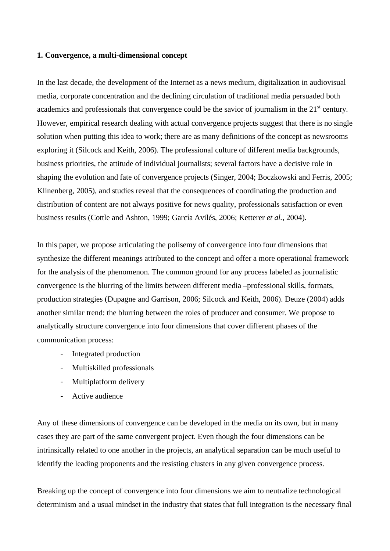## **1. Convergence, a multi-dimensional concept**

In the last decade, the development of the Internet as a news medium, digitalization in audiovisual media, corporate concentration and the declining circulation of traditional media persuaded both academics and professionals that convergence could be the savior of journalism in the 21<sup>st</sup> century. However, empirical research dealing with actual convergence projects suggest that there is no single solution when putting this idea to work; there are as many definitions of the concept as newsrooms exploring it (Silcock and Keith, 2006). The professional culture of different media backgrounds, business priorities, the attitude of individual journalists; several factors have a decisive role in shaping the evolution and fate of convergence projects (Singer, 2004; Boczkowski and Ferris, 2005; Klinenberg, 2005), and studies reveal that the consequences of coordinating the production and distribution of content are not always positive for news quality, professionals satisfaction or even business results (Cottle and Ashton, 1999; García Avilés, 2006; Ketterer *et al.*, 2004).

In this paper, we propose articulating the polisemy of convergence into four dimensions that synthesize the different meanings attributed to the concept and offer a more operational framework for the analysis of the phenomenon. The common ground for any process labeled as journalistic convergence is the blurring of the limits between different media –professional skills, formats, production strategies (Dupagne and Garrison, 2006; Silcock and Keith, 2006). Deuze (2004) adds another similar trend: the blurring between the roles of producer and consumer. We propose to analytically structure convergence into four dimensions that cover different phases of the communication process:

- Integrated production
- Multiskilled professionals
- Multiplatform delivery
- Active audience

Any of these dimensions of convergence can be developed in the media on its own, but in many cases they are part of the same convergent project. Even though the four dimensions can be intrinsically related to one another in the projects, an analytical separation can be much useful to identify the leading proponents and the resisting clusters in any given convergence process.

Breaking up the concept of convergence into four dimensions we aim to neutralize technological determinism and a usual mindset in the industry that states that full integration is the necessary final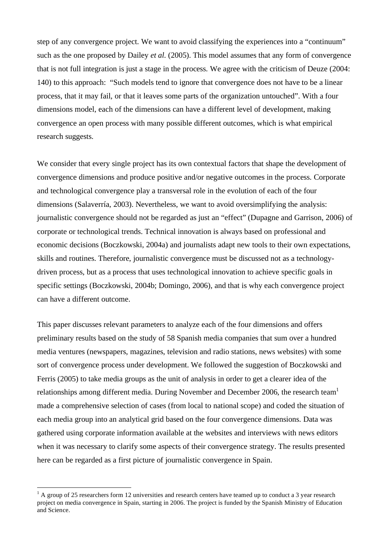step of any convergence project. We want to avoid classifying the experiences into a "continuum" such as the one proposed by Dailey *et al.* (2005). This model assumes that any form of convergence that is not full integration is just a stage in the process. We agree with the criticism of Deuze (2004: 140) to this approach: "Such models tend to ignore that convergence does not have to be a linear process, that it may fail, or that it leaves some parts of the organization untouched". With a four dimensions model, each of the dimensions can have a different level of development, making convergence an open process with many possible different outcomes, which is what empirical research suggests.

We consider that every single project has its own contextual factors that shape the development of convergence dimensions and produce positive and/or negative outcomes in the process. Corporate and technological convergence play a transversal role in the evolution of each of the four dimensions (Salaverría, 2003). Nevertheless, we want to avoid oversimplifying the analysis: journalistic convergence should not be regarded as just an "effect" (Dupagne and Garrison, 2006) of corporate or technological trends. Technical innovation is always based on professional and economic decisions (Boczkowski, 2004a) and journalists adapt new tools to their own expectations, skills and routines. Therefore, journalistic convergence must be discussed not as a technologydriven process, but as a process that uses technological innovation to achieve specific goals in specific settings (Boczkowski, 2004b; Domingo, 2006), and that is why each convergence project can have a different outcome.

This paper discusses relevant parameters to analyze each of the four dimensions and offers preliminary results based on the study of 58 Spanish media companies that sum over a hundred media ventures (newspapers, magazines, television and radio stations, news websites) with some sort of convergence process under development. We followed the suggestion of Boczkowski and Ferris (2005) to take media groups as the unit of analysis in order to get a clearer idea of the relationships among different media. During November and December 2006, the research team<sup>1</sup> made a comprehensive selection of cases (from local to national scope) and coded the situation of each media group into an analytical grid based on the four convergence dimensions. Data was gathered using corporate information available at the websites and interviews with news editors when it was necessary to clarify some aspects of their convergence strategy. The results presented here can be regarded as a first picture of journalistic convergence in Spain.

<u>.</u>

 $<sup>1</sup>$  A group of 25 researchers form 12 universities and research centers have teamed up to conduct a 3 year research</sup> project on media convergence in Spain, starting in 2006. The project is funded by the Spanish Ministry of Education and Science.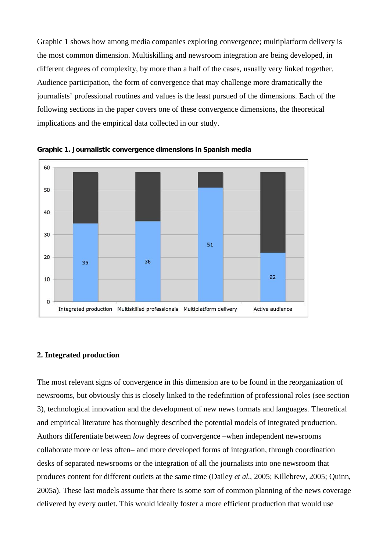Graphic 1 shows how among media companies exploring convergence; multiplatform delivery is the most common dimension. Multiskilling and newsroom integration are being developed, in different degrees of complexity, by more than a half of the cases, usually very linked together. Audience participation, the form of convergence that may challenge more dramatically the journalists' professional routines and values is the least pursued of the dimensions. Each of the following sections in the paper covers one of these convergence dimensions, the theoretical implications and the empirical data collected in our study.



**Graphic 1. Journalistic convergence dimensions in Spanish media**

# **2. Integrated production**

The most relevant signs of convergence in this dimension are to be found in the reorganization of newsrooms, but obviously this is closely linked to the redefinition of professional roles (see section 3), technological innovation and the development of new news formats and languages. Theoretical and empirical literature has thoroughly described the potential models of integrated production. Authors differentiate between *low* degrees of convergence –when independent newsrooms collaborate more or less often– and more developed forms of integration, through coordination desks of separated newsrooms or the integration of all the journalists into one newsroom that produces content for different outlets at the same time (Dailey *et al.*, 2005; Killebrew, 2005; Quinn, 2005a). These last models assume that there is some sort of common planning of the news coverage delivered by every outlet. This would ideally foster a more efficient production that would use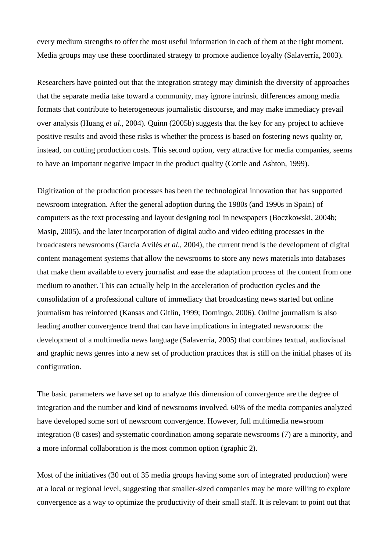every medium strengths to offer the most useful information in each of them at the right moment. Media groups may use these coordinated strategy to promote audience loyalty (Salaverría, 2003).

Researchers have pointed out that the integration strategy may diminish the diversity of approaches that the separate media take toward a community, may ignore intrinsic differences among media formats that contribute to heterogeneous journalistic discourse, and may make immediacy prevail over analysis (Huang *et al.*, 2004). Quinn (2005b) suggests that the key for any project to achieve positive results and avoid these risks is whether the process is based on fostering news quality or, instead, on cutting production costs. This second option, very attractive for media companies, seems to have an important negative impact in the product quality (Cottle and Ashton, 1999).

Digitization of the production processes has been the technological innovation that has supported newsroom integration. After the general adoption during the 1980s (and 1990s in Spain) of computers as the text processing and layout designing tool in newspapers (Boczkowski, 2004b; Masip, 2005), and the later incorporation of digital audio and video editing processes in the broadcasters newsrooms (García Avilés *et al.*, 2004), the current trend is the development of digital content management systems that allow the newsrooms to store any news materials into databases that make them available to every journalist and ease the adaptation process of the content from one medium to another. This can actually help in the acceleration of production cycles and the consolidation of a professional culture of immediacy that broadcasting news started but online journalism has reinforced (Kansas and Gitlin, 1999; Domingo, 2006). Online journalism is also leading another convergence trend that can have implications in integrated newsrooms: the development of a multimedia news language (Salaverría, 2005) that combines textual, audiovisual and graphic news genres into a new set of production practices that is still on the initial phases of its configuration.

The basic parameters we have set up to analyze this dimension of convergence are the degree of integration and the number and kind of newsrooms involved. 60% of the media companies analyzed have developed some sort of newsroom convergence. However, full multimedia newsroom integration (8 cases) and systematic coordination among separate newsrooms (7) are a minority, and a more informal collaboration is the most common option (graphic 2).

Most of the initiatives (30 out of 35 media groups having some sort of integrated production) were at a local or regional level, suggesting that smaller-sized companies may be more willing to explore convergence as a way to optimize the productivity of their small staff. It is relevant to point out that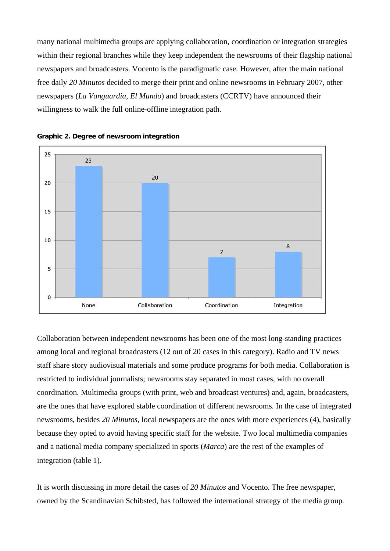many national multimedia groups are applying collaboration, coordination or integration strategies within their regional branches while they keep independent the newsrooms of their flagship national newspapers and broadcasters. Vocento is the paradigmatic case. However, after the main national free daily *20 Minutos* decided to merge their print and online newsrooms in February 2007, other newspapers (*La Vanguardia*, *El Mundo*) and broadcasters (CCRTV) have announced their willingness to walk the full online-offline integration path.



**Graphic 2. Degree of newsroom integration**

Collaboration between independent newsrooms has been one of the most long-standing practices among local and regional broadcasters (12 out of 20 cases in this category). Radio and TV news staff share story audiovisual materials and some produce programs for both media. Collaboration is restricted to individual journalists; newsrooms stay separated in most cases, with no overall coordination. Multimedia groups (with print, web and broadcast ventures) and, again, broadcasters, are the ones that have explored stable coordination of different newsrooms. In the case of integrated newsrooms, besides *20 Minutos*, local newspapers are the ones with more experiences (4), basically because they opted to avoid having specific staff for the website. Two local multimedia companies and a national media company specialized in sports (*Marca*) are the rest of the examples of integration (table 1).

It is worth discussing in more detail the cases of *20 Minutos* and Vocento. The free newspaper, owned by the Scandinavian Schibsted, has followed the international strategy of the media group.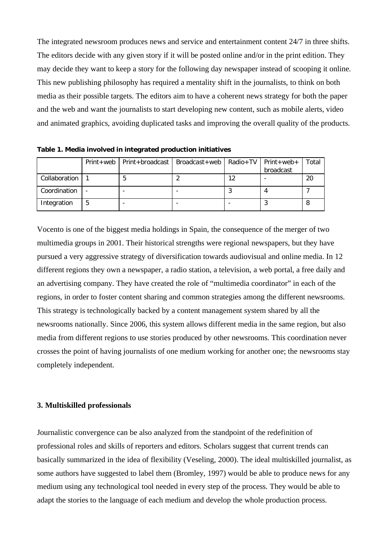The integrated newsroom produces news and service and entertainment content 24/7 in three shifts. The editors decide with any given story if it will be posted online and/or in the print edition. They may decide they want to keep a story for the following day newspaper instead of scooping it online. This new publishing philosophy has required a mentality shift in the journalists, to think on both media as their possible targets. The editors aim to have a coherent news strategy for both the paper and the web and want the journalists to start developing new content, such as mobile alerts, video and animated graphics, avoiding duplicated tasks and improving the overall quality of the products.

|               |   | Print+web   Print+broadcast   Broadcast+web   Radio+TV   Print+web+ |     | broadcast | Total |
|---------------|---|---------------------------------------------------------------------|-----|-----------|-------|
| Collaboration |   |                                                                     | 1 ገ |           | 20    |
| Coordination  |   |                                                                     |     |           |       |
| Integration   | 5 |                                                                     |     |           |       |

**Table 1. Media involved in integrated production initiatives** 

Vocento is one of the biggest media holdings in Spain, the consequence of the merger of two multimedia groups in 2001. Their historical strengths were regional newspapers, but they have pursued a very aggressive strategy of diversification towards audiovisual and online media. In 12 different regions they own a newspaper, a radio station, a television, a web portal, a free daily and an advertising company. They have created the role of "multimedia coordinator" in each of the regions, in order to foster content sharing and common strategies among the different newsrooms. This strategy is technologically backed by a content management system shared by all the newsrooms nationally. Since 2006, this system allows different media in the same region, but also media from different regions to use stories produced by other newsrooms. This coordination never crosses the point of having journalists of one medium working for another one; the newsrooms stay completely independent.

# **3. Multiskilled professionals**

Journalistic convergence can be also analyzed from the standpoint of the redefinition of professional roles and skills of reporters and editors. Scholars suggest that current trends can basically summarized in the idea of flexibility (Veseling, 2000). The ideal multiskilled journalist, as some authors have suggested to label them (Bromley, 1997) would be able to produce news for any medium using any technological tool needed in every step of the process. They would be able to adapt the stories to the language of each medium and develop the whole production process.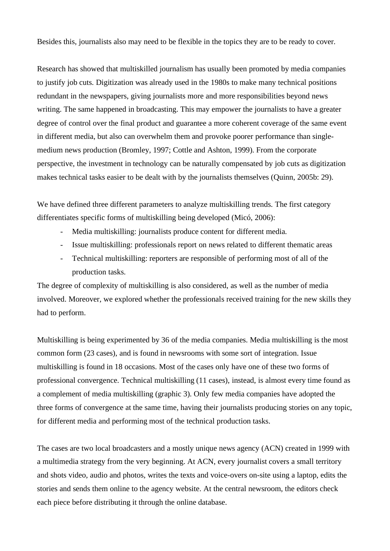Besides this, journalists also may need to be flexible in the topics they are to be ready to cover.

Research has showed that multiskilled journalism has usually been promoted by media companies to justify job cuts. Digitization was already used in the 1980s to make many technical positions redundant in the newspapers, giving journalists more and more responsibilities beyond news writing. The same happened in broadcasting. This may empower the journalists to have a greater degree of control over the final product and guarantee a more coherent coverage of the same event in different media, but also can overwhelm them and provoke poorer performance than singlemedium news production (Bromley, 1997; Cottle and Ashton, 1999). From the corporate perspective, the investment in technology can be naturally compensated by job cuts as digitization makes technical tasks easier to be dealt with by the journalists themselves (Quinn, 2005b: 29).

We have defined three different parameters to analyze multiskilling trends. The first category differentiates specific forms of multiskilling being developed (Micó, 2006):

- Media multiskilling: journalists produce content for different media.
- Issue multiskilling: professionals report on news related to different thematic areas
- Technical multiskilling: reporters are responsible of performing most of all of the production tasks.

The degree of complexity of multiskilling is also considered, as well as the number of media involved. Moreover, we explored whether the professionals received training for the new skills they had to perform.

Multiskilling is being experimented by 36 of the media companies. Media multiskilling is the most common form (23 cases), and is found in newsrooms with some sort of integration. Issue multiskilling is found in 18 occasions. Most of the cases only have one of these two forms of professional convergence. Technical multiskilling (11 cases), instead, is almost every time found as a complement of media multiskilling (graphic 3). Only few media companies have adopted the three forms of convergence at the same time, having their journalists producing stories on any topic, for different media and performing most of the technical production tasks.

The cases are two local broadcasters and a mostly unique news agency (ACN) created in 1999 with a multimedia strategy from the very beginning. At ACN, every journalist covers a small territory and shots video, audio and photos, writes the texts and voice-overs on-site using a laptop, edits the stories and sends them online to the agency website. At the central newsroom, the editors check each piece before distributing it through the online database.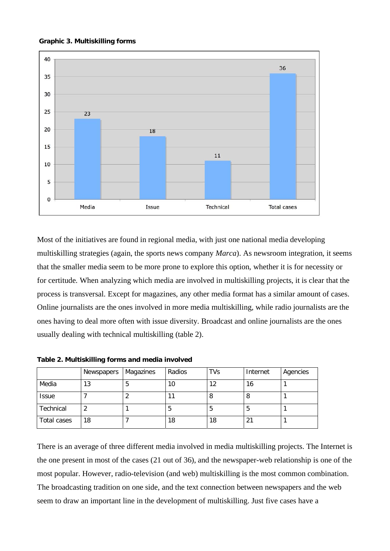#### **Graphic 3. Multiskilling forms**



Most of the initiatives are found in regional media, with just one national media developing multiskilling strategies (again, the sports news company *Marca*). As newsroom integration, it seems that the smaller media seem to be more prone to explore this option, whether it is for necessity or for certitude. When analyzing which media are involved in multiskilling projects, it is clear that the process is transversal. Except for magazines, any other media format has a similar amount of cases. Online journalists are the ones involved in more media multiskilling, while radio journalists are the ones having to deal more often with issue diversity. Broadcast and online journalists are the ones usually dealing with technical multiskilling (table 2).

**Table 2. Multiskilling forms and media involved** 

|              | Newspapers | Magazines | Radios | <b>TVs</b> | Internet       | Agencies |
|--------------|------------|-----------|--------|------------|----------------|----------|
| Media        | 13         | 5         | 10     | 12         | 16             |          |
| <b>Issue</b> |            |           |        | 8          | Ö              |          |
| Technical    |            |           | C      | 5          | C              |          |
| Total cases  | 18         |           | 18     | 18         | 2 <sup>1</sup> |          |

There is an average of three different media involved in media multiskilling projects. The Internet is the one present in most of the cases (21 out of 36), and the newspaper-web relationship is one of the most popular. However, radio-television (and web) multiskilling is the most common combination. The broadcasting tradition on one side, and the text connection between newspapers and the web seem to draw an important line in the development of multiskilling. Just five cases have a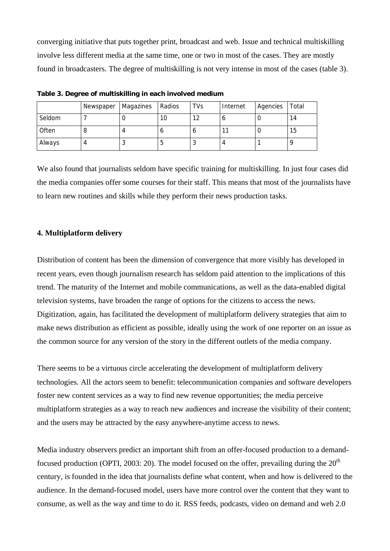converging initiative that puts together print, broadcast and web. Issue and technical multiskilling involve less different media at the same time, one or two in most of the cases. They are mostly found in broadcasters. The degree of multiskilling is not very intense in most of the cases (table 3).

|        | Newspaper | Magazines | Radios | <b>TVs</b> | Internet | Agencies | Total |
|--------|-----------|-----------|--------|------------|----------|----------|-------|
| Seldom |           |           | 10     | 12         | o        |          | 14    |
| Often  |           |           |        | О          | 11       |          | 15    |
| Always |           | J         | э      |            | 4        |          |       |

**Table 3. Degree of multiskilling in each involved medium** 

We also found that journalists seldom have specific training for multiskilling. In just four cases did the media companies offer some courses for their staff. This means that most of the journalists have to learn new routines and skills while they perform their news production tasks.

# **4. Multiplatform delivery**

Distribution of content has been the dimension of convergence that more visibly has developed in recent years, even though journalism research has seldom paid attention to the implications of this trend. The maturity of the Internet and mobile communications, as well as the data-enabled digital television systems, have broaden the range of options for the citizens to access the news. Digitization, again, has facilitated the development of multiplatform delivery strategies that aim to make news distribution as efficient as possible, ideally using the work of one reporter on an issue as the common source for any version of the story in the different outlets of the media company.

There seems to be a virtuous circle accelerating the development of multiplatform delivery technologies. All the actors seem to benefit: telecommunication companies and software developers foster new content services as a way to find new revenue opportunities; the media perceive multiplatform strategies as a way to reach new audiences and increase the visibility of their content; and the users may be attracted by the easy anywhere-anytime access to news.

Media industry observers predict an important shift from an offer-focused production to a demandfocused production (OPTI, 2003: 20). The model focused on the offer, prevailing during the  $20<sup>th</sup>$ century, is founded in the idea that journalists define what content, when and how is delivered to the audience. In the demand-focused model, users have more control over the content that they want to consume, as well as the way and time to do it. RSS feeds, podcasts, video on demand and web 2.0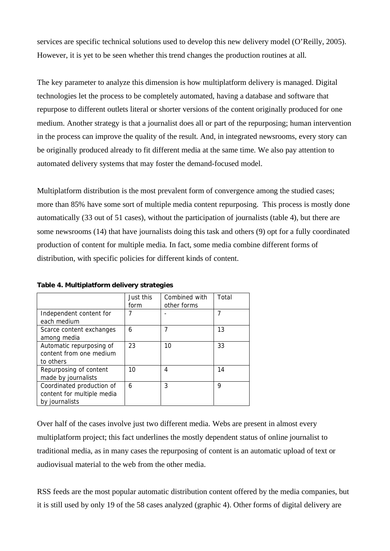services are specific technical solutions used to develop this new delivery model (O'Reilly, 2005). However, it is yet to be seen whether this trend changes the production routines at all.

The key parameter to analyze this dimension is how multiplatform delivery is managed. Digital technologies let the process to be completely automated, having a database and software that repurpose to different outlets literal or shorter versions of the content originally produced for one medium. Another strategy is that a journalist does all or part of the repurposing; human intervention in the process can improve the quality of the result. And, in integrated newsrooms, every story can be originally produced already to fit different media at the same time. We also pay attention to automated delivery systems that may foster the demand-focused model.

Multiplatform distribution is the most prevalent form of convergence among the studied cases; more than 85% have some sort of multiple media content repurposing. This process is mostly done automatically (33 out of 51 cases), without the participation of journalists (table 4), but there are some newsrooms (14) that have journalists doing this task and others (9) opt for a fully coordinated production of content for multiple media. In fact, some media combine different forms of distribution, with specific policies for different kinds of content.

|                                                                           | Just this<br>form | Combined with<br>other forms | Total |
|---------------------------------------------------------------------------|-------------------|------------------------------|-------|
| Independent content for<br>each medium                                    |                   |                              |       |
| Scarce content exchanges<br>among media                                   | 6                 |                              | 13    |
| Automatic repurposing of<br>content from one medium<br>to others          | 23                | 10                           | 33    |
| Repurposing of content<br>made by journalists                             | 10                | 4                            | 14    |
| Coordinated production of<br>content for multiple media<br>by journalists | 6                 | 3                            | 9     |

**Table 4. Multiplatform delivery strategies** 

Over half of the cases involve just two different media. Webs are present in almost every multiplatform project; this fact underlines the mostly dependent status of online journalist to traditional media, as in many cases the repurposing of content is an automatic upload of text or audiovisual material to the web from the other media.

RSS feeds are the most popular automatic distribution content offered by the media companies, but it is still used by only 19 of the 58 cases analyzed (graphic 4). Other forms of digital delivery are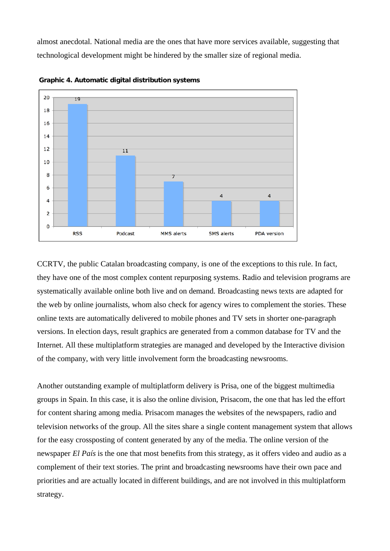almost anecdotal. National media are the ones that have more services available, suggesting that technological development might be hindered by the smaller size of regional media.



 **Graphic 4. Automatic digital distribution systems** 

CCRTV, the public Catalan broadcasting company, is one of the exceptions to this rule. In fact, they have one of the most complex content repurposing systems. Radio and television programs are systematically available online both live and on demand. Broadcasting news texts are adapted for the web by online journalists, whom also check for agency wires to complement the stories. These online texts are automatically delivered to mobile phones and TV sets in shorter one-paragraph versions. In election days, result graphics are generated from a common database for TV and the Internet. All these multiplatform strategies are managed and developed by the Interactive division of the company, with very little involvement form the broadcasting newsrooms.

Another outstanding example of multiplatform delivery is Prisa, one of the biggest multimedia groups in Spain. In this case, it is also the online division, Prisacom, the one that has led the effort for content sharing among media. Prisacom manages the websites of the newspapers, radio and television networks of the group. All the sites share a single content management system that allows for the easy crossposting of content generated by any of the media. The online version of the newspaper *El País* is the one that most benefits from this strategy, as it offers video and audio as a complement of their text stories. The print and broadcasting newsrooms have their own pace and priorities and are actually located in different buildings, and are not involved in this multiplatform strategy.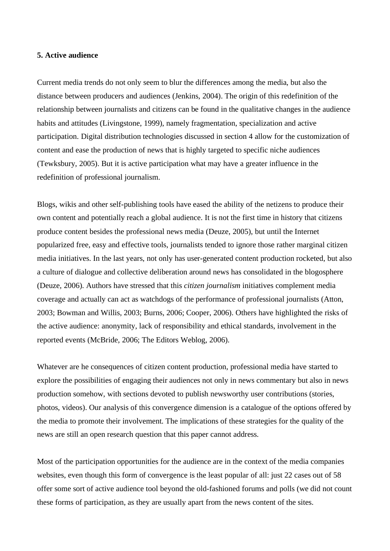# **5. Active audience**

Current media trends do not only seem to blur the differences among the media, but also the distance between producers and audiences (Jenkins, 2004). The origin of this redefinition of the relationship between journalists and citizens can be found in the qualitative changes in the audience habits and attitudes (Livingstone, 1999), namely fragmentation, specialization and active participation. Digital distribution technologies discussed in section 4 allow for the customization of content and ease the production of news that is highly targeted to specific niche audiences (Tewksbury, 2005). But it is active participation what may have a greater influence in the redefinition of professional journalism.

Blogs, wikis and other self-publishing tools have eased the ability of the netizens to produce their own content and potentially reach a global audience. It is not the first time in history that citizens produce content besides the professional news media (Deuze, 2005), but until the Internet popularized free, easy and effective tools, journalists tended to ignore those rather marginal citizen media initiatives. In the last years, not only has user-generated content production rocketed, but also a culture of dialogue and collective deliberation around news has consolidated in the blogosphere (Deuze, 2006). Authors have stressed that this *citizen journalism* initiatives complement media coverage and actually can act as watchdogs of the performance of professional journalists (Atton, 2003; Bowman and Willis, 2003; Burns, 2006; Cooper, 2006). Others have highlighted the risks of the active audience: anonymity, lack of responsibility and ethical standards, involvement in the reported events (McBride, 2006; The Editors Weblog, 2006).

Whatever are he consequences of citizen content production, professional media have started to explore the possibilities of engaging their audiences not only in news commentary but also in news production somehow, with sections devoted to publish newsworthy user contributions (stories, photos, videos). Our analysis of this convergence dimension is a catalogue of the options offered by the media to promote their involvement. The implications of these strategies for the quality of the news are still an open research question that this paper cannot address.

Most of the participation opportunities for the audience are in the context of the media companies websites, even though this form of convergence is the least popular of all: just 22 cases out of 58 offer some sort of active audience tool beyond the old-fashioned forums and polls (we did not count these forms of participation, as they are usually apart from the news content of the sites.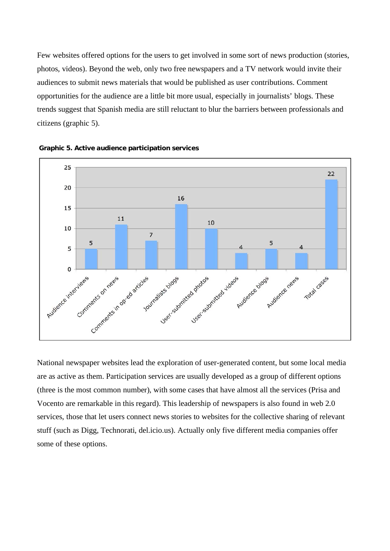Few websites offered options for the users to get involved in some sort of news production (stories, photos, videos). Beyond the web, only two free newspapers and a TV network would invite their audiences to submit news materials that would be published as user contributions. Comment opportunities for the audience are a little bit more usual, especially in journalists' blogs. These trends suggest that Spanish media are still reluctant to blur the barriers between professionals and citizens (graphic 5).





National newspaper websites lead the exploration of user-generated content, but some local media are as active as them. Participation services are usually developed as a group of different options (three is the most common number), with some cases that have almost all the services (Prisa and Vocento are remarkable in this regard). This leadership of newspapers is also found in web 2.0 services, those that let users connect news stories to websites for the collective sharing of relevant stuff (such as Digg, Technorati, del.icio.us). Actually only five different media companies offer some of these options.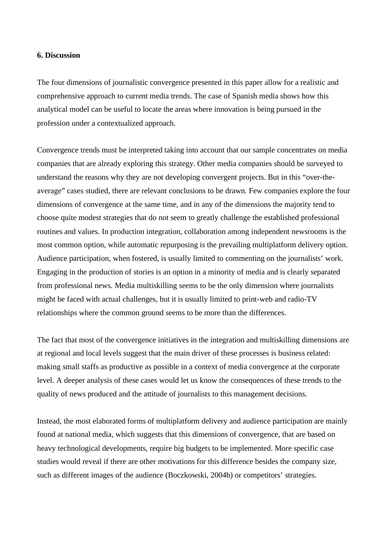## **6. Discussion**

The four dimensions of journalistic convergence presented in this paper allow for a realistic and comprehensive approach to current media trends. The case of Spanish media shows how this analytical model can be useful to locate the areas where innovation is being pursued in the profession under a contextualized approach.

Convergence trends must be interpreted taking into account that our sample concentrates on media companies that are already exploring this strategy. Other media companies should be surveyed to understand the reasons why they are not developing convergent projects. But in this "over-theaverage" cases studied, there are relevant conclusions to be drawn. Few companies explore the four dimensions of convergence at the same time, and in any of the dimensions the majority tend to choose quite modest strategies that do not seem to greatly challenge the established professional routines and values. In production integration, collaboration among independent newsrooms is the most common option, while automatic repurposing is the prevailing multiplatform delivery option. Audience participation, when fostered, is usually limited to commenting on the journalists' work. Engaging in the production of stories is an option in a minority of media and is clearly separated from professional news. Media multiskilling seems to be the only dimension where journalists might be faced with actual challenges, but it is usually limited to print-web and radio-TV relationships where the common ground seems to be more than the differences.

The fact that most of the convergence initiatives in the integration and multiskilling dimensions are at regional and local levels suggest that the main driver of these processes is business related: making small staffs as productive as possible in a context of media convergence at the corporate level. A deeper analysis of these cases would let us know the consequences of these trends to the quality of news produced and the attitude of journalists to this management decisions.

Instead, the most elaborated forms of multiplatform delivery and audience participation are mainly found at national media, which suggests that this dimensions of convergence, that are based on heavy technological developments, require big budgets to be implemented. More specific case studies would reveal if there are other motivations for this difference besides the company size, such as different images of the audience (Boczkowski, 2004b) or competitors' strategies.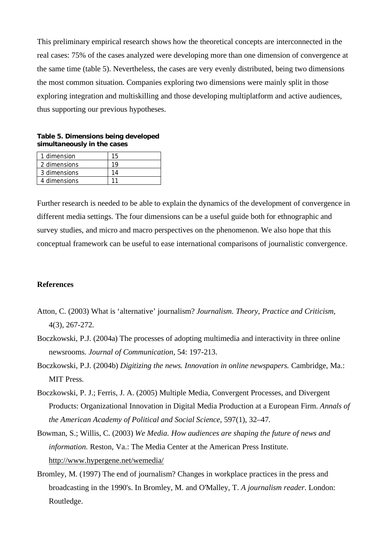This preliminary empirical research shows how the theoretical concepts are interconnected in the real cases: 75% of the cases analyzed were developing more than one dimension of convergence at the same time (table 5). Nevertheless, the cases are very evenly distributed, being two dimensions the most common situation. Companies exploring two dimensions were mainly split in those exploring integration and multiskilling and those developing multiplatform and active audiences, thus supporting our previous hypotheses.

**Table 5. Dimensions being developed simultaneously in the cases** 

| 1 dimension  |  |
|--------------|--|
| 2 dimensions |  |
| 3 dimensions |  |
| 4 dimensions |  |

Further research is needed to be able to explain the dynamics of the development of convergence in different media settings. The four dimensions can be a useful guide both for ethnographic and survey studies, and micro and macro perspectives on the phenomenon. We also hope that this conceptual framework can be useful to ease international comparisons of journalistic convergence.

# **References**

- Atton, C. (2003) What is 'alternative' journalism? *Journalism. Theory, Practice and Criticism*, 4(3), 267-272.
- Boczkowski, P.J. (2004a) The processes of adopting multimedia and interactivity in three online newsrooms. *Journal of Communication*, 54: 197-213.
- Boczkowski, P.J. (2004b) *Digitizing the news. Innovation in online newspapers.* Cambridge, Ma.: MIT Press.
- Boczkowski, P. J.; Ferris, J. A. (2005) Multiple Media, Convergent Processes, and Divergent Products: Organizational Innovation in Digital Media Production at a European Firm. *Annals of the American Academy of Political and Social Science*, 597(1), 32–47.
- Bowman, S.; Willis, C. (2003) *We Media. How audiences are shaping the future of news and information.* Reston, Va.: The Media Center at the American Press Institute. http://www.hypergene.net/wemedia/
- Bromley, M. (1997) The end of journalism? Changes in workplace practices in the press and broadcasting in the 1990's. In Bromley, M. and O'Malley, T. *A journalism reader*. London: Routledge.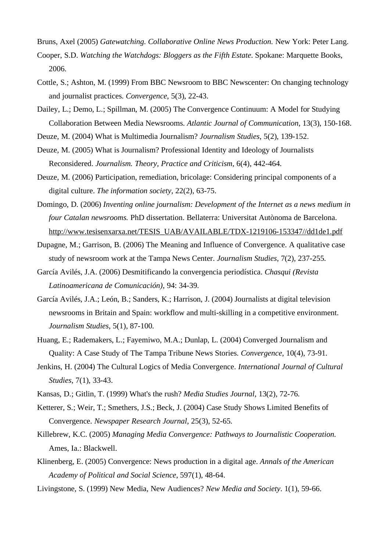Bruns, Axel (2005) *Gatewatching. Collaborative Online News Production.* New York: Peter Lang.

- Cooper, S.D. *Watching the Watchdogs: Bloggers as the Fifth Estate*. Spokane: Marquette Books, 2006.
- Cottle, S.; Ashton, M. (1999) From BBC Newsroom to BBC Newscenter: On changing technology and journalist practices. *Convergence*, 5(3), 22-43.
- Dailey, L.; Demo, L.; Spillman, M. (2005) The Convergence Continuum: A Model for Studying Collaboration Between Media Newsrooms. *Atlantic Journal of Communication*, 13(3), 150-168.
- Deuze, M. (2004) What is Multimedia Journalism? *Journalism Studies*, 5(2), 139-152.
- Deuze, M. (2005) What is Journalism? Professional Identity and Ideology of Journalists Reconsidered. *Journalism. Theory, Practice and Criticism*, 6(4), 442-464.
- Deuze, M. (2006) Participation, remediation, bricolage: Considering principal components of a digital culture. *The information society,* 22(2), 63-75.
- Domingo, D. (2006) *Inventing online journalism: Development of the Internet as a news medium in four Catalan newsrooms.* PhD dissertation. Bellaterra: Universitat Autònoma de Barcelona. http://www.tesisenxarxa.net/TESIS\_UAB/AVAILABLE/TDX-1219106-153347//dd1de1.pdf
- Dupagne, M.; Garrison, B. (2006) The Meaning and Influence of Convergence. A qualitative case study of newsroom work at the Tampa News Center. *Journalism Studies*, 7(2), 237-255.
- García Avilés, J.A. (2006) Desmitificando la convergencia periodística. *Chasqui (Revista Latinoamericana de Comunicación)*, 94: 34-39.
- García Avilés, J.A.; León, B.; Sanders, K.; Harrison, J. (2004) Journalists at digital television newsrooms in Britain and Spain: workflow and multi-skilling in a competitive environment. *Journalism Studies*, 5(1), 87-100.
- Huang, E.; Rademakers, L.; Fayemiwo, M.A.; Dunlap, L. (2004) Converged Journalism and Quality: A Case Study of The Tampa Tribune News Stories. *Convergence*, 10(4), 73-91.
- Jenkins, H. (2004) The Cultural Logics of Media Convergence. *International Journal of Cultural Studies*, 7(1), 33-43.
- Kansas, D.; Gitlin, T. (1999) What's the rush? *Media Studies Journal*, 13(2), 72-76.
- Ketterer, S.; Weir, T.; Smethers, J.S.; Beck, J. (2004) Case Study Shows Limited Benefits of Convergence. *Newspaper Research Journal*, 25(3), 52-65.
- Killebrew, K.C. (2005) *Managing Media Convergence: Pathways to Journalistic Cooperation.*  Ames, Ia.: Blackwell.
- Klinenberg, E. (2005) Convergence: News production in a digital age. *Annals of the American Academy of Political and Social Science*, 597(1), 48-64.
- Livingstone, S. (1999) New Media, New Audiences? *New Media and Society*. 1(1), 59-66.